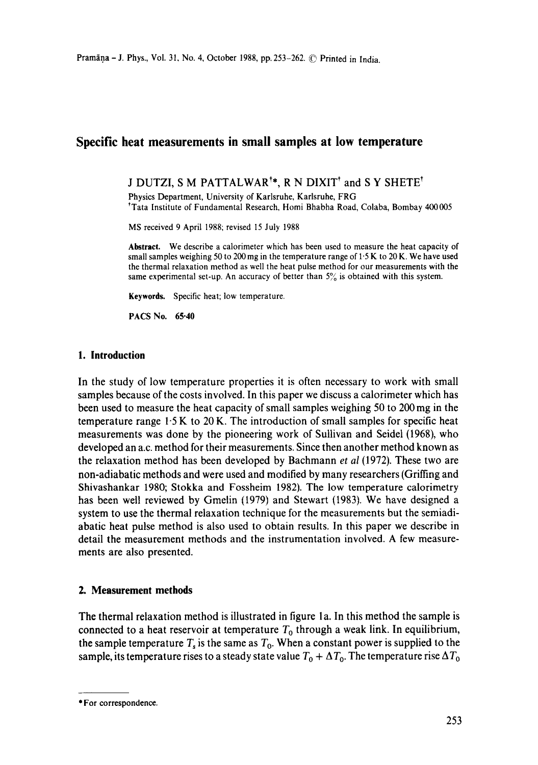# **Specific heat measurements in small samples at low temperature**

# J DUTZI, S M PATTALWAR<sup>†\*</sup>, R N DIXIT<sup>†</sup> and S Y SHETE<sup>†</sup>

Physics Department, University of Karlsruhe, Karlsruhe, FRG ~Tata Institute of Fundamental Research, Homi Bhabha Road, Colaba, Bombay 400005

MS received 9 April 1988; revised 15 July 1988

**Abstract.** We describe a calorimeter which has been used to measure the heat capacity of small samples weighing 50 to 200 mg in the temperature range of  $1.5 K$  to 20 K. We have used the thermal relaxation method as well the heat pulse method for our measurements with the same experimental set-up. An accuracy of better than  $5\%$  is obtained with this system.

**Keywords.** Specific heat; low temperature.

PACS No. 65.40

## **1. Introduction**

In the study of low temperature properties it is often necessary to work with small samples because of the costs involved. In this paper we discuss a calorimeter which has been used to measure the heat capacity of small samples weighing 50 to 200 mg in the temperature range  $1.5 K$  to 20 K. The introduction of small samples for specific heat measurements was done by the pioneering work of Sullivan and Seidel (1968), who developed an a.c. method for their measurements. Since then another method known as the relaxation method has been developed by Bachmann *et al* (1972). These two are non-adiabatic methods and were used and modified by many researchers (Griffing and Shivashankar 1980; Stokka and Fossheim 1982). The low temperature calorimetry has been well reviewed by Gmelin (1979) and Stewart (1983). We have designed a system to use the thermal relaxation technique for the measurements but the semiadiabatic heat pulse method is also used to obtain results. In this paper we describe in detail the measurement methods and the instrumentation involved. A few measurements are also presented.

## **2. Measurement methods**

The thermal relaxation method is illustrated in figure la. In this method the sample is connected to a heat reservoir at temperature  $T_0$  through a weak link. In equilibrium, the sample temperature  $T_s$  is the same as  $T_0$ . When a constant power is supplied to the sample, its temperature rises to a steady state value  $T_0 + \Delta T_0$ . The temperature rise  $\Delta T_0$ 

<sup>\*</sup> For **correspondence.**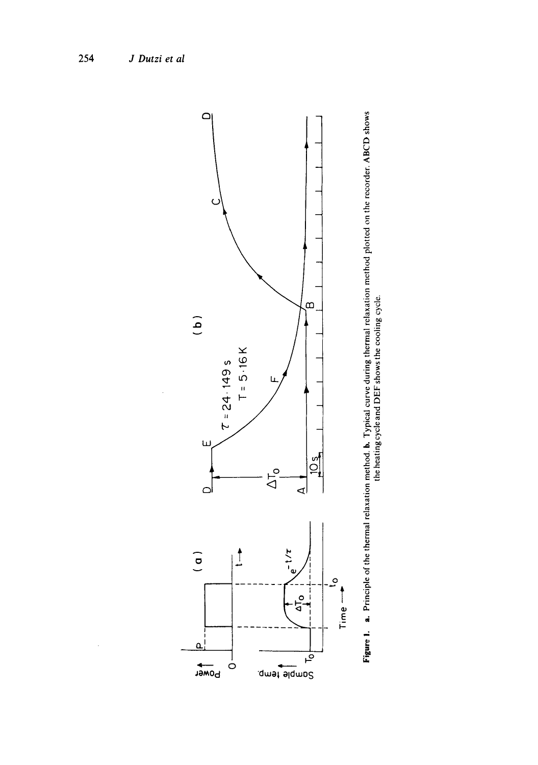



 $\bar{\bar{z}}$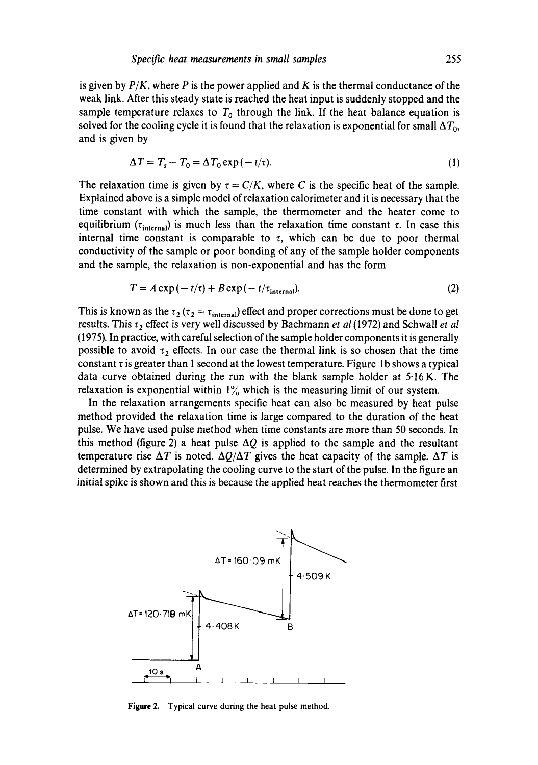is given by  $P/K$ , where P is the power applied and K is the thermal conductance of the weak link. After this steady state is reached the heat input is suddenly stopped and the sample temperature relaxes to  $T_0$  through the link. If the heat balance equation is solved for the cooling cycle it is found that the relaxation is exponential for small  $\Delta T_0$ , and is given by

$$
\Delta T = T_s - T_0 = \Delta T_0 \exp(-t/\tau). \tag{1}
$$

The relaxation time is given by  $\tau = C/K$ , where C is the specific heat of the sample. Explained above is a simple model of relaxation calorimeter and it is necessary that the time constant with which the sample, the thermometer and the heater come to equilibrium ( $\tau_{\text{internal}}$ ) is much less than the relaxation time constant  $\tau$ . In case this internal time constant is comparable to  $\tau$ , which can be due to poor thermal conductivity of the sample or poor bonding of any of the sample holder components and the sample, the relaxation is non-exponential and has the form

$$
T = A \exp(-t/\tau) + B \exp(-t/\tau_{\text{internal}}). \tag{2}
$$

This is known as the  $\tau_2$  ( $\tau_2 = \tau_{\text{internal}}$ ) effect and proper corrections must be done to get results. This  $\tau_2$  effect is very well discussed by Bachmann *et al* (1972) and Schwall *et al* (1975). In practice, with careful selection of the sample holder components it is generally possible to avoid  $\tau_2$  effects. In our case the thermal link is so chosen that the time constant  $\tau$  is greater than 1 second at the lowest temperature. Figure 1b shows a typical data curve obtained during the run with the blank sample holder at 5-16K. The relaxation is exponential within  $1\%$  which is the measuring limit of our system.

In the relaxation arrangements specific heat can also be measured by heat pulse method provided the relaxation time is large compared to the duration of the heat pulse. We have used pulse method when time constants are more than 50 seconds. In this method (figure 2) a heat pulse  $\Delta Q$  is applied to the sample and the resultant temperature rise  $\Delta T$  is noted.  $\Delta Q/\Delta T$  gives the heat capacity of the sample.  $\Delta T$  is determined by extrapolating the cooling curve to the start of the pulse. In the figure an initial spike is shown and this is because the applied heat reaches the thermometer first



Figure 2. Typical curve during the heat pulse method.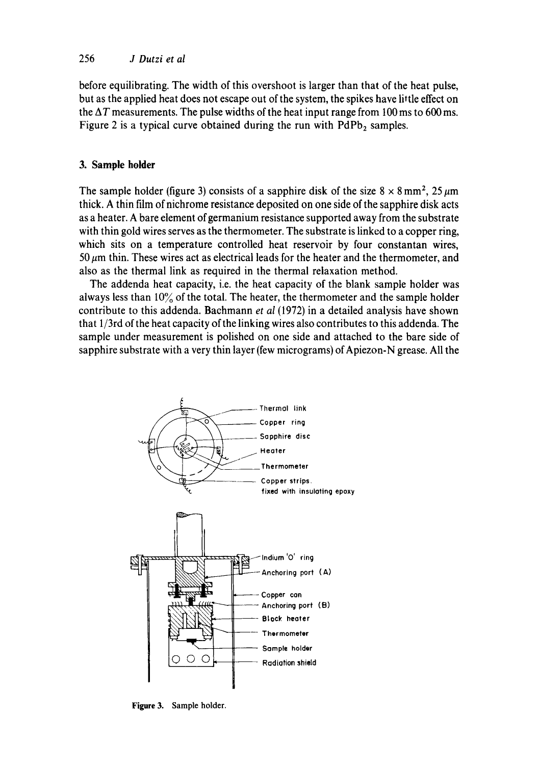## 256 *J Dutzi et al*

before equilibrating. The width of this overshoot is larger than that of the heat pulse, but as the applied heat does not escape out of the system, the spikes have little effect on the  $\Delta T$  measurements. The pulse widths of the heat input range from 100 ms to 600 ms. Figure 2 is a typical curve obtained during the run with  $PdPb<sub>2</sub>$  samples.

## **3. Sample holder**

The sample holder (figure 3) consists of a sapphire disk of the size  $8 \times 8$  mm<sup>2</sup>, 25  $\mu$ m thick. A thin film of nichrome resistance deposited on one side of the sapphire disk acts as a heater. A bare element of germanium resistance supported away from the substrate with thin gold wires serves as the thermometer. The substrate is linked to a copper ring, which sits on a temperature controlled heat reservoir by four constantan wires, 50  $\mu$ m thin. These wires act as electrical leads for the heater and the thermometer, and also as the thermal link as required in the thermal relaxation method.

The addenda heat capacity, i.e. the heat capacity of the blank sample holder was always less than  $10\%$  of the total. The heater, the thermometer and the sample holder contribute to this addenda. Bachmann *et al* (1972) in a detailed analysis have shown that 1/3rd of the heat capacity of the linking wires also contributes to this addenda. The sample under measurement is polished on one side and attached to the bare side of sapphire substrate with a very thin layer (few micrograms) of Apiezon-N grease. All the



Figure 3. Sample holder.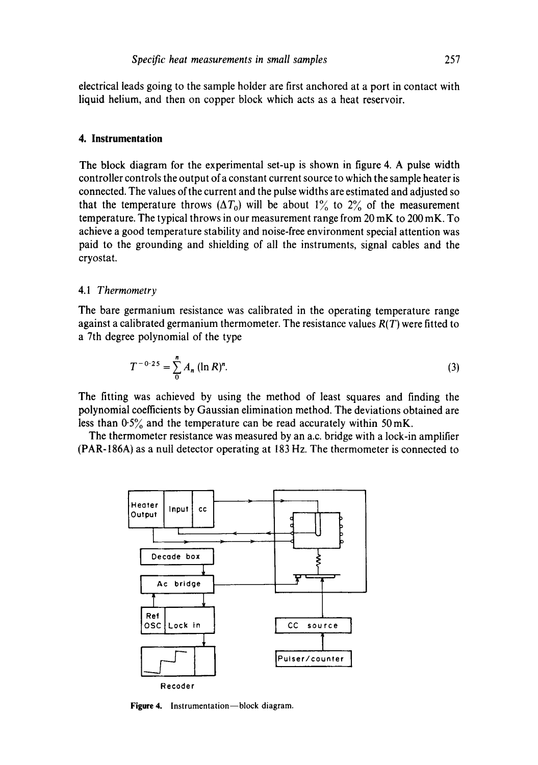electrical leads going to the sample holder are first anchored at a port in contact with liquid helium, and then on copper block which acts as a heat reservoir.

#### **4. Instrumentation**

The block diagram for the experimental set-up is shown in figure 4. A pulse width controller controls the output of a constant current source to which the sample heater is connected. The values of the current and the pulse widths are estimated and adjusted so that the temperature throws ( $\Delta T_0$ ) will be about 1% to 2% of the measurement temperature. The typical throws in our measurement range from 20 mK to 200 mK. To achieve a good temperature stability and noise-free environment special attention was paid to the grounding and shielding of all the instruments, signal cables and the cryostat.

#### 4.1 *Thermometry*

The bare germanium resistance was calibrated in the operating temperature range against a calibrated germanium thermometer. The resistance values *R(T)* were fitted to a 7th degree polynomial of the type

$$
T^{-0.25} = \sum_{n=0}^{n} A_n (\ln R)^n.
$$
 (3)

The fitting was achieved by using the method of least squares and finding the polynomial coefficients by Gaussian elimination method. The deviations obtained are less than  $0.5\%$  and the temperature can be read accurately within 50 mK.

The thermometer resistance was measured by an a.c. bridge with a lock-in amplifier (PAR-186A) as a null detector operating at 183 Hz. The thermometer is connected to



Figure 4. Instrumentation-block diagram.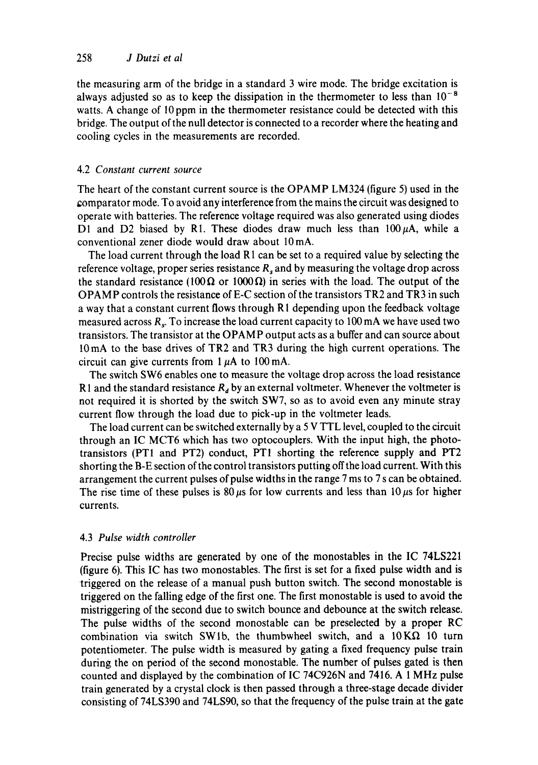the measuring arm of the bridge in a standard 3 wire mode. The bridge excitation is always adjusted so as to keep the dissipation in the thermometer to less than  $10^{-8}$ watts. A change of 10 ppm in the thermometer resistance could be detected with this bridge. The output of the null detector is connected to a recorder where the heating and cooling cycles in the measurements are recorded.

### 4.2 *Constant current source*

The heart of the constant current source is the OPAMP LM324 (figure 5) used in the gomparator mode. To avoid any interference from the mains the circuit was designed to operate with batteries. The reference voltage required was also generated using diodes D1 and D2 biased by R1. These diodes draw much less than  $100 \mu A$ , while a conventional zener diode would draw about l0 mA.

The load current through the load R1 can be set to a required value by selecting the reference voltage, proper series resistance  $R_s$  and by measuring the voltage drop across the standard resistance (100 $\Omega$  or 1000 $\Omega$ ) in series with the load. The output of the OPAMP controls the resistance of E-C section of the transistors TR2 and TR3 in such a way that a constant current flows through Rl depending upon the feedback voltage measured across  $R<sub>s</sub>$ . To increase the load current capacity to 100 mA we have used two transistors. The transistor at the OPAMP output acts as a buffer and can source about 10mA to the base drives of TR2 and TR3 during the high current operations. The circuit can give currents from  $1~\mu$ A to  $100~\text{mA}$ .

The switch SW6 enables one to measure the voltage drop across the load resistance R1 and the standard resistance  $R_d$  by an external voltmeter. Whenever the voltmeter is not required it is shorted by the switch SW7, so as to avoid even any minute stray current flow through the load due to pick-up in the voltmeter leads.

The load current can be switched externally by a 5 V TTL level, coupled to the circuit through an IC MCT6 which has two optocouplers. With the input high, the phototransistors (PT1 and PT2) conduct, PT1 shorting the reference supply and PT2 shorting the B-E section of the control transistors putting offthe load current. With this arrangement the current pulses of pulse widths in the range 7 ms to 7 s can be obtained. The rise time of these pulses is 80  $\mu$ s for low currents and less than 10  $\mu$ s for higher currents.

#### 4.3 *Pulse width controller*

Precise pulse widths are generated by one of the monostables in the IC 74LS221 (figure 6). This IC has two monostables. The first is set for a fixed pulse width and is triggered on the release of a manual push button switch. The second monostable is triggered on the falling edge of the first one. The first monostable is used to avoid the mistriggering of the second due to switch bounce and debounce at the switch release. The pulse widths of the second monostable can be preselected by a proper RC combination via switch SW1b, the thumbwheel switch, and a  $10 K\Omega$  10 turn potentiometer. The pulse width is measured by gating a fixed frequency pulse train during the on period of the second monostable. The number of pulses gated is then counted and displayed by the combination of IC 74C926N and 7416. A 1 MHz pulse train generated by a crystal clock is then passed through a three-stage decade divider consisting of 74LS390 and 74LS90, so that the frequency of the pulse train at the gate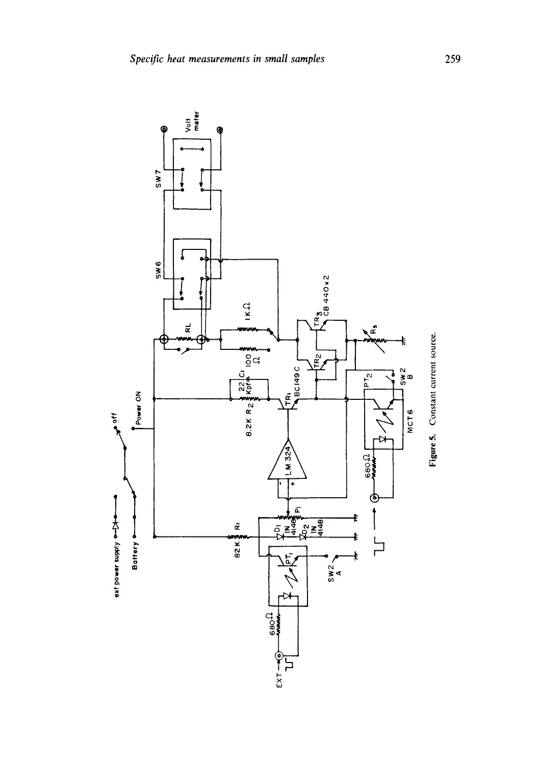

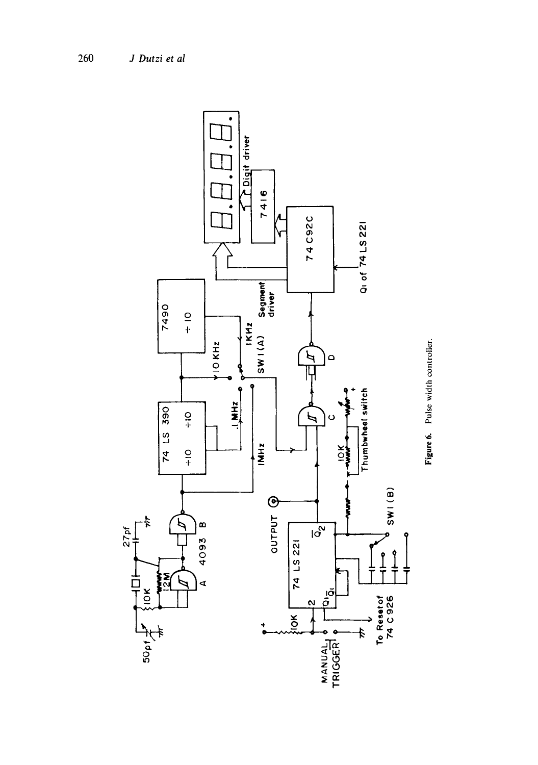

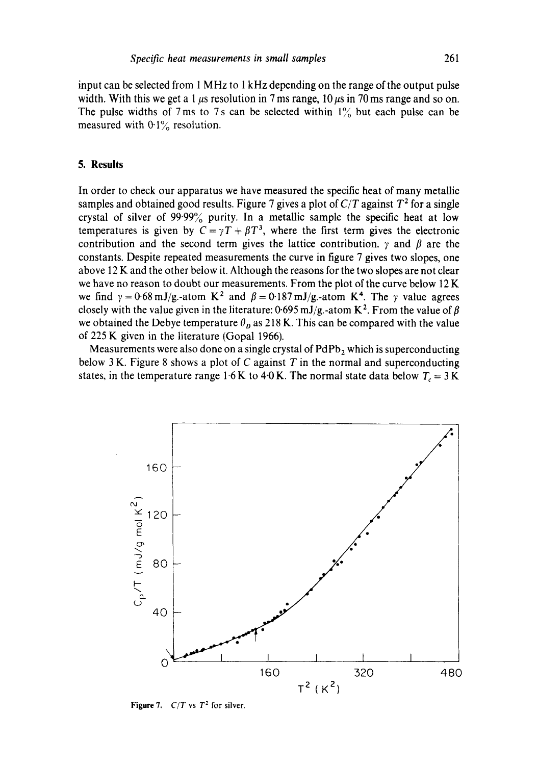input can be selected from 1 MHz to 1 kHz depending on the range of the output pulse width. With this we get a 1  $\mu$ s resolution in 7 ms range, 10  $\mu$ s in 70 ms range and so on. The pulse widths of 7 ms to 7s can be selected within  $1\%$  but each pulse can be measured with  $0.1\%$  resolution.

## **5. Results**

In order to check our apparatus we have measured the specific heat of many metallic samples and obtained good results. Figure 7 gives a plot of  $C/T$  against  $T^2$  for a single crystal of silver of 99.99% purity. In a metallic sample the specific heat at low temperatures is given by  $C = \gamma T + \beta T^3$ , where the first term gives the electronic contribution and the second term gives the lattice contribution.  $\gamma$  and  $\beta$  are the constants. Despite repeated measurements the curve in figure 7 gives two slopes, one above 12 K and the other below it. Although the reasons for the two slopes are not clear we have no reason to doubt our measurements. From the plot of the curve below 12 K we find  $\gamma = 0.68 \text{ mJ/g}$ -atom K<sup>2</sup> and  $\beta = 0.187 \text{ mJ/g}$ -atom K<sup>4</sup>. The  $\gamma$  value agrees closely with the value given in the literature: 0.695 mJ/g.-atom K<sup>2</sup>. From the value of  $\beta$ we obtained the Debye temperature  $\theta_p$  as 218 K. This can be compared with the value of 225 K given in the literature (Gopal 1966).

Measurements were also done on a single crystal of  $PdPb<sub>2</sub>$  which is superconducting below 3 K. Figure 8 shows a plot of C against  $T$  in the normal and superconducting states, in the temperature range 1.6 K to 4.0 K. The normal state data below  $T_c = 3$  K



**Figure 7.**  $C/T$  vs  $T^2$  for silver.